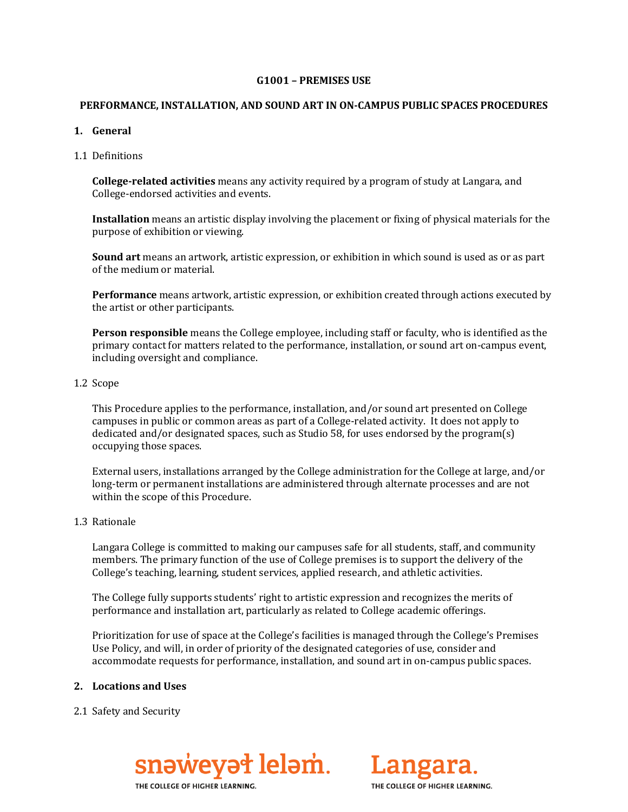#### **G1001 – PREMISES USE**

#### **PERFORMANCE, INSTALLATION, AND SOUND ART IN ON-CAMPUS PUBLIC SPACES PROCEDURES**

# **1. General**

1.1 Definitions

**College-related activities** means any activity required by a program of study at Langara, and College-endorsed activities and events.

**Installation** means an artistic display involving the placement or fixing of physical materials for the purpose of exhibition or viewing.

**Sound art** means an artwork, artistic expression, or exhibition in which sound is used as or as part of the medium or material.

**Performance** means artwork, artistic expression, or exhibition created through actions executed by the artist or other participants.

**Person responsible** means the College employee, including staff or faculty, who is identified as the primary contact for matters related to the performance, installation, or sound art on-campus event, including oversight and compliance.

# 1.2 Scope

This Procedure applies to the performance, installation, and/or sound art presented on College campuses in public or common areas as part of a College-related activity. It does not apply to dedicated and/or designated spaces, such as Studio 58, for uses endorsed by the program(s) occupying those spaces.

External users, installations arranged by the College administration for the College at large, and/or long-term or permanent installations are administered through alternate processes and are not within the scope of this Procedure.

# 1.3 Rationale

Langara College is committed to making our campuses safe for all students, staff, and community members. The primary function of the use of College premises is to support the delivery of the College's teaching, learning, student services, applied research, and athletic activities.

The College fully supports students' right to artistic expression and recognizes the merits of performance and installation art, particularly as related to College academic offerings.

Prioritization for use of space at the College's facilities is managed through the College's Premises Use Policy, and will, in order of priority of the designated categories of use, consider and accommodate requests for performance, installation, and sound art in on-campus public spaces.

# **2. Locations and Uses**

2.1 Safety and Security





THE COLLEGE OF HIGHER LEARNING.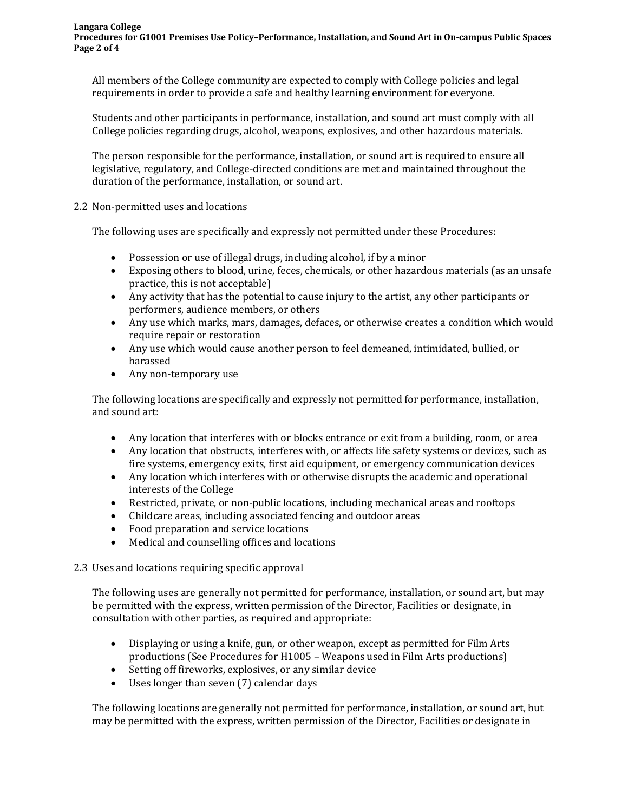All members of the College community are expected to comply with College policies and legal requirements in order to provide a safe and healthy learning environment for everyone.

Students and other participants in performance, installation, and sound art must comply with all College policies regarding drugs, alcohol, weapons, explosives, and other hazardous materials.

The person responsible for the performance, installation, or sound art is required to ensure all legislative, regulatory, and College-directed conditions are met and maintained throughout the duration of the performance, installation, or sound art.

2.2 Non-permitted uses and locations

The following uses are specifically and expressly not permitted under these Procedures:

- Possession or use of illegal drugs, including alcohol, if by a minor
- Exposing others to blood, urine, feces, chemicals, or other hazardous materials (as an unsafe practice, this is not acceptable)
- Any activity that has the potential to cause injury to the artist, any other participants or performers, audience members, or others
- Any use which marks, mars, damages, defaces, or otherwise creates a condition which would require repair or restoration
- Any use which would cause another person to feel demeaned, intimidated, bullied, or harassed
- Any non-temporary use

The following locations are specifically and expressly not permitted for performance, installation, and sound art:

- Any location that interferes with or blocks entrance or exit from a building, room, or area
- Any location that obstructs, interferes with, or affects life safety systems or devices, such as fire systems, emergency exits, first aid equipment, or emergency communication devices
- Any location which interferes with or otherwise disrupts the academic and operational interests of the College
- Restricted, private, or non-public locations, including mechanical areas and rooftops
- Childcare areas, including associated fencing and outdoor areas
- Food preparation and service locations
- Medical and counselling offices and locations

2.3 Uses and locations requiring specific approval

The following uses are generally not permitted for performance, installation, or sound art, but may be permitted with the express, written permission of the Director, Facilities or designate, in consultation with other parties, as required and appropriate:

- Displaying or using a knife, gun, or other weapon, except as permitted for Film Arts productions (See Procedures for H1005 – Weapons used in Film Arts productions)
- Setting off fireworks, explosives, or any similar device
- Uses longer than seven (7) calendar days

The following locations are generally not permitted for performance, installation, or sound art, but may be permitted with the express, written permission of the Director, Facilities or designate in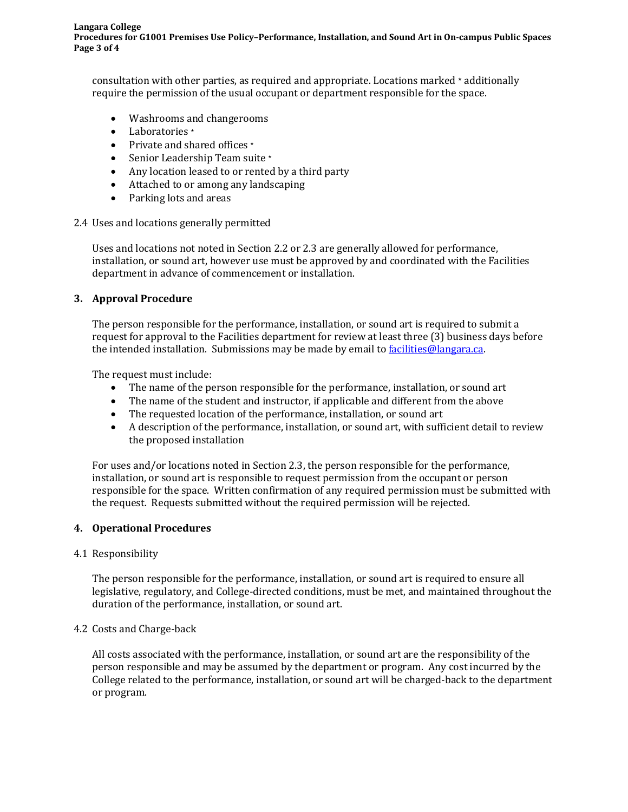consultation with other parties, as required and appropriate. Locations marked  $\star$  additionally require the permission of the usual occupant or department responsible for the space.

- Washrooms and changerooms
- Laboratories \*
- Private and shared offices \*
- Senior Leadership Team suite \*
- Any location leased to or rented by a third party
- Attached to or among any landscaping
- Parking lots and areas
- 2.4 Uses and locations generally permitted

Uses and locations not noted in Section 2.2 or 2.3 are generally allowed for performance, installation, or sound art, however use must be approved by and coordinated with the Facilities department in advance of commencement or installation.

# **3. Approval Procedure**

The person responsible for the performance, installation, or sound art is required to submit a request for approval to the Facilities department for review at least three (3) business days before the intended installation. Submissions may be made by email to [facilities@langara.ca.](mailto:facilities@langara.ca)

The request must include:

- The name of the person responsible for the performance, installation, or sound art
- The name of the student and instructor, if applicable and different from the above
- The requested location of the performance, installation, or sound art
- A description of the performance, installation, or sound art, with sufficient detail to review the proposed installation

For uses and/or locations noted in Section 2.3, the person responsible for the performance, installation, or sound art is responsible to request permission from the occupant or person responsible for the space. Written confirmation of any required permission must be submitted with the request. Requests submitted without the required permission will be rejected.

# **4. Operational Procedures**

# 4.1 Responsibility

The person responsible for the performance, installation, or sound art is required to ensure all legislative, regulatory, and College-directed conditions, must be met, and maintained throughout the duration of the performance, installation, or sound art.

# 4.2 Costs and Charge-back

All costs associated with the performance, installation, or sound art are the responsibility of the person responsible and may be assumed by the department or program. Any cost incurred by the College related to the performance, installation, or sound art will be charged-back to the department or program.